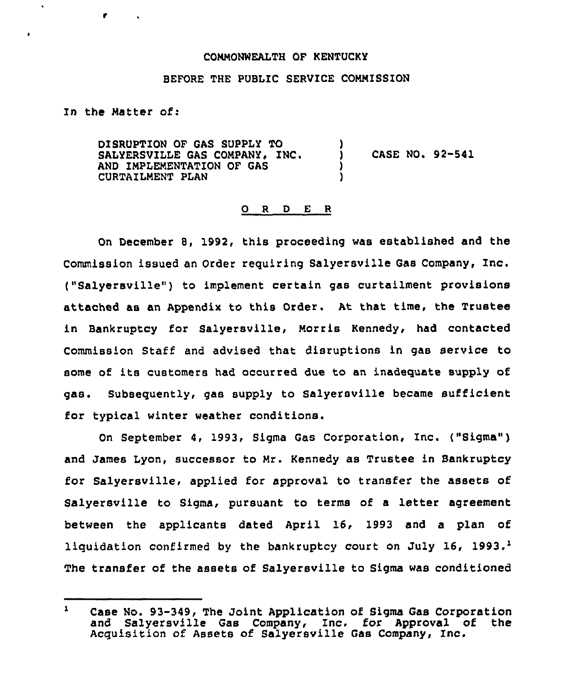### COMMONWEALTH OF KENTUCKY

## BEFORE THE PUBLIC SERVICE COMMISSION

In the Natter of:

 $\tilde{\phantom{a}}$ 

DISRUPTION OF GAS SUPPLY TO SALYERSVILLE GAS COMPANY, INC. AND IMPLEMENTATION OF GAS CURTAILMENT PLAN ) ) CASE NO. 92-541 ) )

## 0 <sup>R</sup> <sup>D</sup> E <sup>R</sup>

On December 8, 1992, this proceeding was established and the Commission issued an Order requiring Salyersville Gas Company, Inc. ("Salyersville") to implement certain gas curtailment provisions attached as an Appendix to this Order. At that time, the Trustee in Bankruptcy for Salyersville, Norris Kennedy, had contacted Commission Staff and advised that disruptions in gas service to some of its customers had occurred due to an inadequate supply of gas. Subsequently, gas supply to Salyersville became sufficient for typical winter weather conditions.

On September 4, 1993, Sigma Gas Corporation, Inc. ("Sigma" ) and James Lyon, successor to Mr. Kennedy as Trustee in Bankruptcy for Salyersville, applied for approval to transfer the assets of Salyersville to Sigma, pursuant to terms of a letter agreement between the applicants dated April 16, 1993 and a plan of liquidation confirmed by the bankruptcy court on July 16, 1993.<sup>1</sup> The transfer of the assets of Salversville to Sigma was conditioned

 $\mathbf{1}$ Case No. 93-349, The Joint Application of Sigma Gas Corporation and Salyersville Gas Company, Inc. for Approval of the Acquisition of Assets of Salyersville Gas Company, Inc.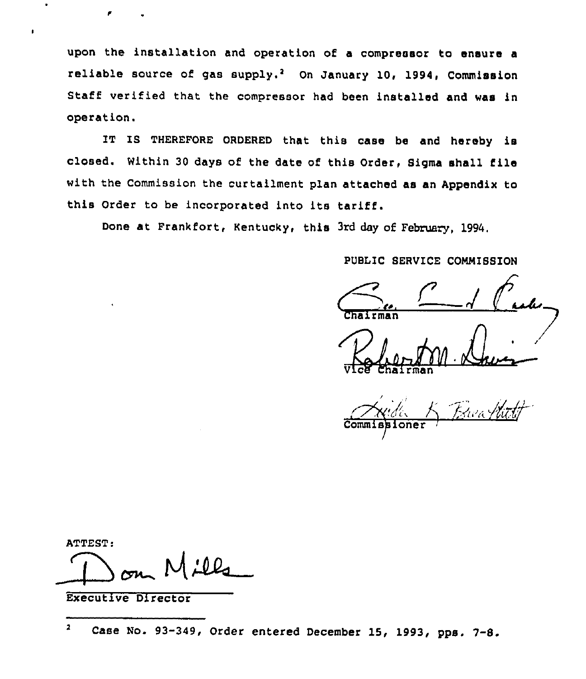upon the installation and operation of a compressor to ensure a reliable source of gas supply.<sup>2</sup> On January 10, 1994, Commission Staff verified that the compressor had been installed and was in operation.

IT IS THEREFORE ORDERED that this case be and hereby is closed. Within <sup>30</sup> days of the date of this Order, Sigma shall file with the Commission the curtailment plan attached as an Appendix to this Order to be incorporated into its tariff.

Done at Frankfort, Kentucky, this 3rd day of February, 1994.

PUBLIC SERVICE CONNISSION

MMISSION<br>1 Cred<br>Davis  $r$ man

'2J.o.de Vice Chairma

 $K^2$ 

ATTEST:

 $M$ ill

Executive Director

 $\overline{\mathbf{z}}$ Case No. 93-349, Order entered December 15, 1993, pps. 7-8.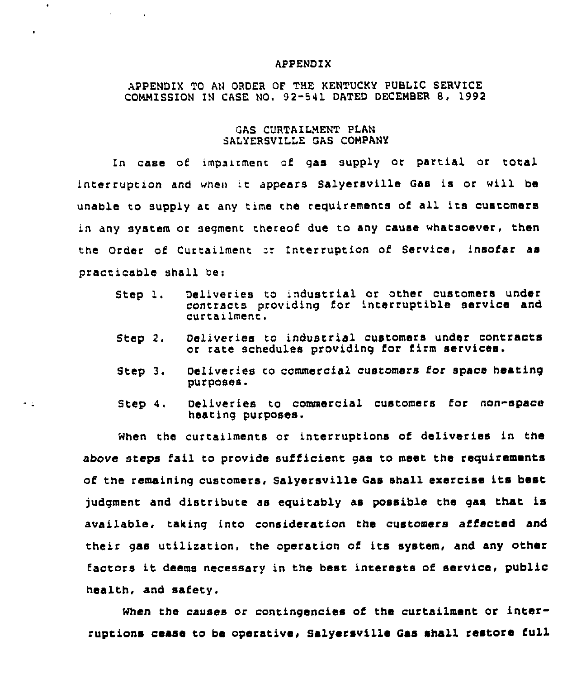#### APPENDIX

 $\bullet$ 

 $\star$  -  $\pm$ 

**Service Control** 

# APPENDIX TO AN ORDER QP THE KENTUCKY PUBLIC SERVICE COMMISSION IN CASE NO. 92-541 DATED DECEMBER 8, 1992

## GAS CURTAILMENT PLAN SALYERSVILLE GAS COMPANY

In case of impairment of gas supply or partial or total interruption and when it appears Salyersville Gas is or will be unable to supply at any time the requirements of all its customers in any system or segment thereof due to any cause whatsoever, then the Order of Curtailment or Interruption of Service, insofar as practicable shall be:

- Step 1. Deliveries to industrial or other customers under contracts providing for interruptible service and  $curtain$ .
- Step 2. Deliveries to indusrrial customers under contracts or rate schedules providing for firm services.
- Step 3. Deliveries ro commercial customers for space heating purposes.
- Step 4. Deliveries to commercial customers for non-space heating purposes.

When the curtailments or inrerruptions of deliveries in the above steps fail to provide sufficient gas to meet the requirements of the remaining customers, Salyersville Gas shall exercise its best judgment and distribute as equitably as possible the gas that is available, taking into consideration the customers affected and their gas utilization, the operation of its system, and any other factors it deems necessary in the best interests of service, public health, and safety.

When the causes or contingencies of the curtailment or interruptions cease to be operative, salyersville Gas shall restore full